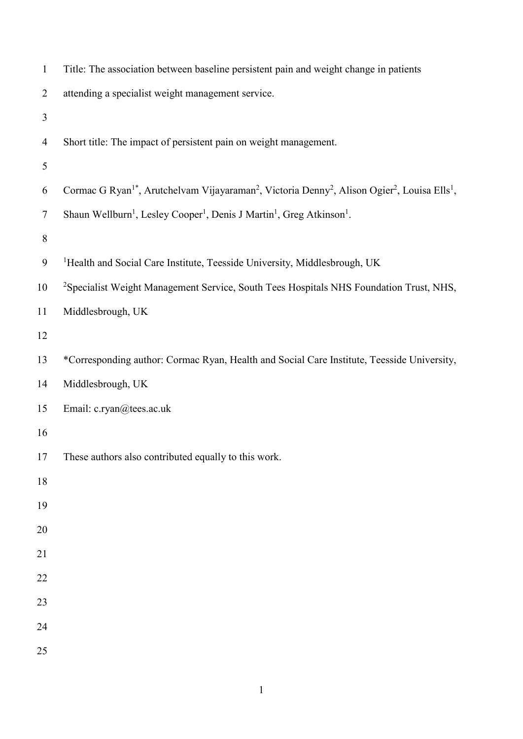| $\mathbf{1}$   | Title: The association between baseline persistent pain and weight change in patients                                                                     |
|----------------|-----------------------------------------------------------------------------------------------------------------------------------------------------------|
| $\overline{2}$ | attending a specialist weight management service.                                                                                                         |
| 3              |                                                                                                                                                           |
| $\overline{4}$ | Short title: The impact of persistent pain on weight management.                                                                                          |
| 5              |                                                                                                                                                           |
| 6              | Cormac G Ryan <sup>1*</sup> , Arutchelvam Vijayaraman <sup>2</sup> , Victoria Denny <sup>2</sup> , Alison Ogier <sup>2</sup> , Louisa Ells <sup>1</sup> , |
| $\tau$         | Shaun Wellburn <sup>1</sup> , Lesley Cooper <sup>1</sup> , Denis J Martin <sup>1</sup> , Greg Atkinson <sup>1</sup> .                                     |
| $8\,$          |                                                                                                                                                           |
| 9              | <sup>1</sup> Health and Social Care Institute, Teesside University, Middlesbrough, UK                                                                     |
| 10             | <sup>2</sup> Specialist Weight Management Service, South Tees Hospitals NHS Foundation Trust, NHS,                                                        |
| 11             | Middlesbrough, UK                                                                                                                                         |
| 12             |                                                                                                                                                           |
| 13             | *Corresponding author: Cormac Ryan, Health and Social Care Institute, Teesside University,                                                                |
| 14             | Middlesbrough, UK                                                                                                                                         |
| 15             | Email: c.ryan@tees.ac.uk                                                                                                                                  |
| 16             |                                                                                                                                                           |
| 17             | These authors also contributed equally to this work.                                                                                                      |
| 18             |                                                                                                                                                           |
| 19             |                                                                                                                                                           |
| 20             |                                                                                                                                                           |
| 21             |                                                                                                                                                           |
| 22             |                                                                                                                                                           |
| 23             |                                                                                                                                                           |
| 24             |                                                                                                                                                           |
| 25             |                                                                                                                                                           |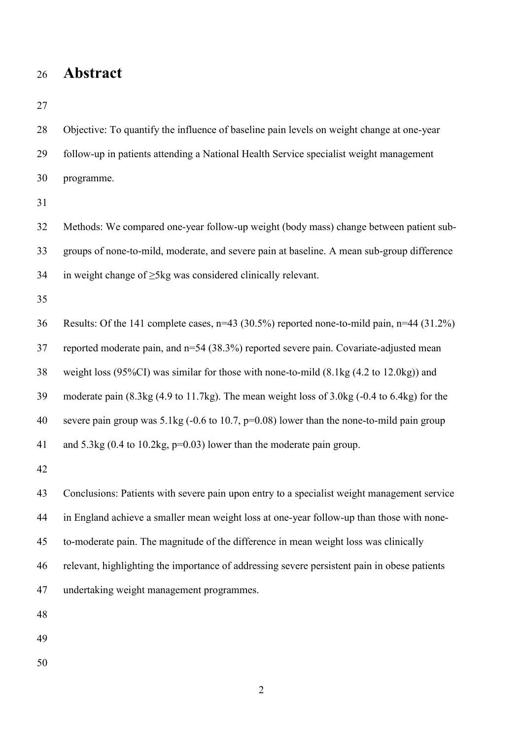### **Abstract**

 Objective: To quantify the influence of baseline pain levels on weight change at one-year follow-up in patients attending a National Health Service specialist weight management programme. Methods: We compared one-year follow-up weight (body mass) change between patient sub- groups of none-to-mild, moderate, and severe pain at baseline. A mean sub-group difference 34 in weight change of  $\geq$ 5kg was considered clinically relevant. Results: Of the 141 complete cases, n=43 (30.5%) reported none-to-mild pain, n=44 (31.2%) reported moderate pain, and n=54 (38.3%) reported severe pain. Covariate-adjusted mean weight loss (95%CI) was similar for those with none-to-mild (8.1kg (4.2 to 12.0kg)) and moderate pain (8.3kg (4.9 to 11.7kg). The mean weight loss of 3.0kg (-0.4 to 6.4kg) for the severe pain group was 5.1kg (-0.6 to 10.7, p=0.08) lower than the none-to-mild pain group and 5.3kg (0.4 to 10.2kg, p=0.03) lower than the moderate pain group. Conclusions: Patients with severe pain upon entry to a specialist weight management service in England achieve a smaller mean weight loss at one-year follow-up than those with none- to-moderate pain. The magnitude of the difference in mean weight loss was clinically relevant, highlighting the importance of addressing severe persistent pain in obese patients undertaking weight management programmes.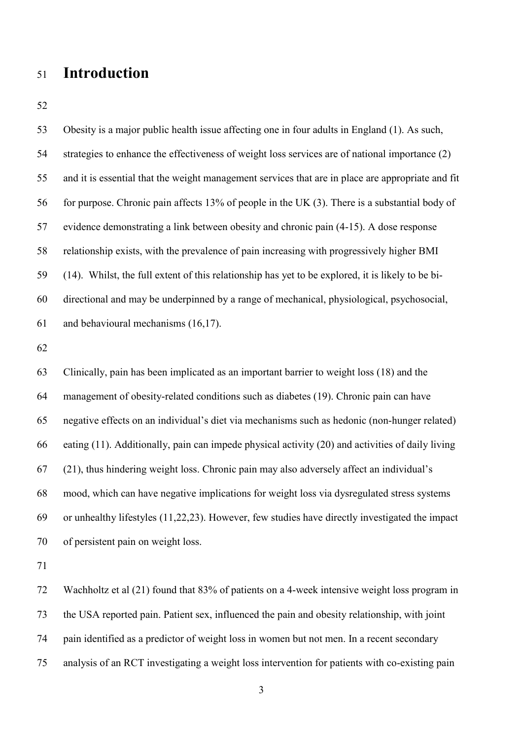## **Introduction**

 Obesity is a major public health issue affecting one in four adults in England (1). As such, strategies to enhance the effectiveness of weight loss services are of national importance (2) and it is essential that the weight management services that are in place are appropriate and fit for purpose. Chronic pain affects 13% of people in the UK (3). There is a substantial body of evidence demonstrating a link between obesity and chronic pain (4-15). A dose response relationship exists, with the prevalence of pain increasing with progressively higher BMI (14). Whilst, the full extent of this relationship has yet to be explored, it is likely to be bi- directional and may be underpinned by a range of mechanical, physiological, psychosocial, and behavioural mechanisms (16,17).

 Clinically, pain has been implicated as an important barrier to weight loss (18) and the management of obesity-related conditions such as diabetes (19). Chronic pain can have negative effects on an individual's diet via mechanisms such as hedonic (non-hunger related) eating (11). Additionally, pain can impede physical activity (20) and activities of daily living (21), thus hindering weight loss. Chronic pain may also adversely affect an individual's mood, which can have negative implications for weight loss via dysregulated stress systems or unhealthy lifestyles (11,22,23). However, few studies have directly investigated the impact of persistent pain on weight loss.

 Wachholtz et al (21) found that 83% of patients on a 4-week intensive weight loss program in the USA reported pain. Patient sex, influenced the pain and obesity relationship, with joint pain identified as a predictor of weight loss in women but not men. In a recent secondary analysis of an RCT investigating a weight loss intervention for patients with co-existing pain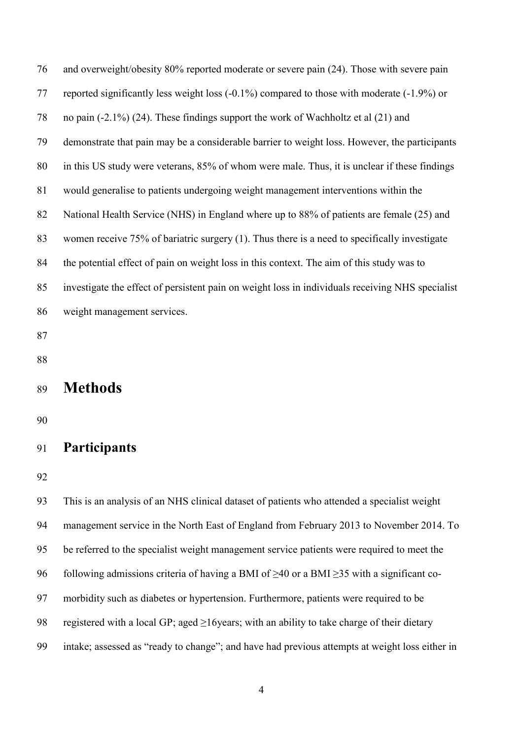and overweight/obesity 80% reported moderate or severe pain (24). Those with severe pain reported significantly less weight loss (-0.1%) compared to those with moderate (-1.9%) or no pain (-2.1%) (24). These findings support the work of Wachholtz et al (21) and demonstrate that pain may be a considerable barrier to weight loss. However, the participants in this US study were veterans, 85% of whom were male. Thus, it is unclear if these findings would generalise to patients undergoing weight management interventions within the 82 National Health Service (NHS) in England where up to 88% of patients are female (25) and women receive 75% of bariatric surgery (1). Thus there is a need to specifically investigate the potential effect of pain on weight loss in this context. The aim of this study was to investigate the effect of persistent pain on weight loss in individuals receiving NHS specialist weight management services.

- 
- 

## **Methods**

### **Participants**

 This is an analysis of an NHS clinical dataset of patients who attended a specialist weight management service in the North East of England from February 2013 to November 2014. To be referred to the specialist weight management service patients were required to meet the 96 following admissions criteria of having a BMI of  $\geq$ 40 or a BMI  $\geq$ 35 with a significant co- morbidity such as diabetes or hypertension. Furthermore, patients were required to be 98 registered with a local GP; aged >16years; with an ability to take charge of their dietary intake; assessed as "ready to change"; and have had previous attempts at weight loss either in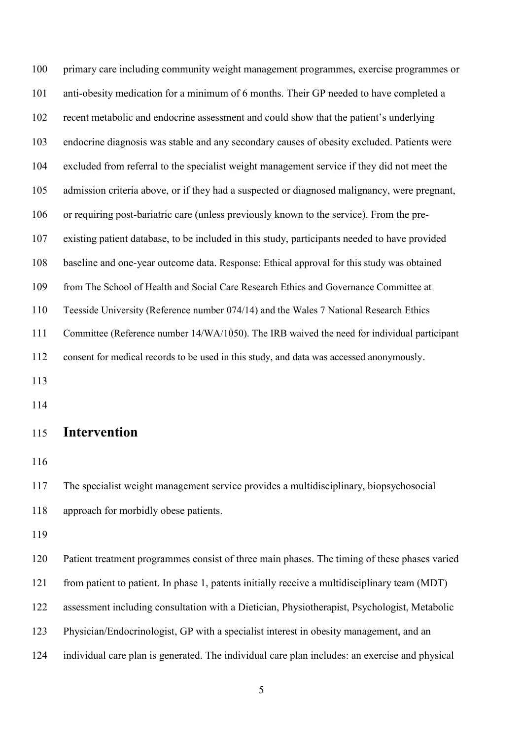primary care including community weight management programmes, exercise programmes or anti-obesity medication for a minimum of 6 months. Their GP needed to have completed a recent metabolic and endocrine assessment and could show that the patient's underlying endocrine diagnosis was stable and any secondary causes of obesity excluded. Patients were excluded from referral to the specialist weight management service if they did not meet the admission criteria above, or if they had a suspected or diagnosed malignancy, were pregnant, or requiring post-bariatric care (unless previously known to the service). From the pre- existing patient database, to be included in this study, participants needed to have provided baseline and one-year outcome data. Response: Ethical approval for this study was obtained from The School of Health and Social Care Research Ethics and Governance Committee at Teesside University (Reference number 074/14) and the Wales 7 National Research Ethics Committee (Reference number 14/WA/1050). The IRB waived the need for individual participant consent for medical records to be used in this study, and data was accessed anonymously. 

#### **Intervention**

 The specialist weight management service provides a multidisciplinary, biopsychosocial approach for morbidly obese patients.

 Patient treatment programmes consist of three main phases. The timing of these phases varied from patient to patient. In phase 1, patents initially receive a multidisciplinary team (MDT) assessment including consultation with a Dietician, Physiotherapist, Psychologist, Metabolic Physician/Endocrinologist, GP with a specialist interest in obesity management, and an individual care plan is generated. The individual care plan includes: an exercise and physical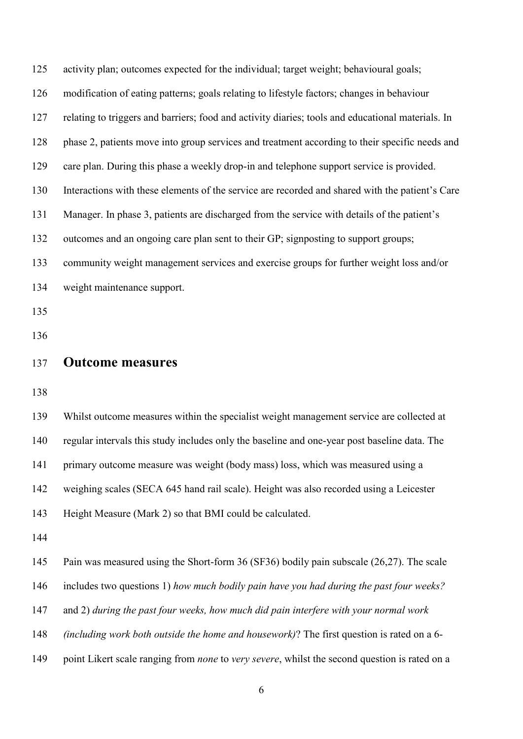| 125 | activity plan; outcomes expected for the individual; target weight; behavioural goals;               |
|-----|------------------------------------------------------------------------------------------------------|
| 126 | modification of eating patterns; goals relating to lifestyle factors; changes in behaviour           |
| 127 | relating to triggers and barriers; food and activity diaries; tools and educational materials. In    |
| 128 | phase 2, patients move into group services and treatment according to their specific needs and       |
| 129 | care plan. During this phase a weekly drop-in and telephone support service is provided.             |
| 130 | Interactions with these elements of the service are recorded and shared with the patient's Care      |
| 131 | Manager. In phase 3, patients are discharged from the service with details of the patient's          |
| 132 | outcomes and an ongoing care plan sent to their GP; signposting to support groups;                   |
| 133 | community weight management services and exercise groups for further weight loss and/or              |
| 134 | weight maintenance support.                                                                          |
| 135 |                                                                                                      |
| 136 |                                                                                                      |
| 137 | <b>Outcome measures</b>                                                                              |
| 138 |                                                                                                      |
| 139 | Whilst outcome measures within the specialist weight management service are collected at             |
| 140 | regular intervals this study includes only the baseline and one-year post baseline data. The         |
| 141 | primary outcome measure was weight (body mass) loss, which was measured using a                      |
| 142 | weighing scales (SECA 645 hand rail scale). Height was also recorded using a Leicester               |
| 143 | Height Measure (Mark 2) so that BMI could be calculated.                                             |
| 144 |                                                                                                      |
| 145 | Pain was measured using the Short-form 36 (SF36) bodily pain subscale (26,27). The scale             |
| 146 | includes two questions 1) how much bodily pain have you had during the past four weeks?              |
| 147 | and 2) during the past four weeks, how much did pain interfere with your normal work                 |
| 148 | (including work both outside the home and housework)? The first question is rated on a 6-            |
| 149 | point Likert scale ranging from <i>none</i> to very severe, whilst the second question is rated on a |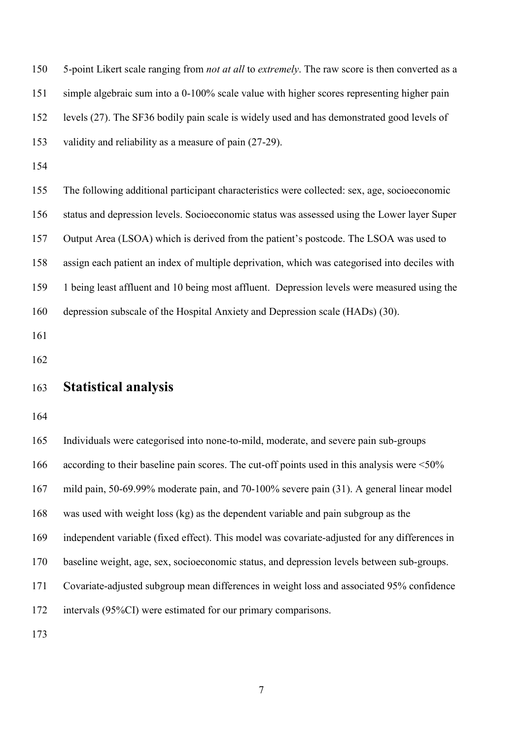| 150 | 5-point Likert scale ranging from not at all to extremely. The raw score is then converted as a    |
|-----|----------------------------------------------------------------------------------------------------|
| 151 | simple algebraic sum into a 0-100% scale value with higher scores representing higher pain         |
| 152 | levels (27). The SF36 bodily pain scale is widely used and has demonstrated good levels of         |
| 153 | validity and reliability as a measure of pain (27-29).                                             |
| 154 |                                                                                                    |
| 155 | The following additional participant characteristics were collected: sex, age, socioeconomic       |
| 156 | status and depression levels. Socioeconomic status was assessed using the Lower layer Super        |
| 157 | Output Area (LSOA) which is derived from the patient's postcode. The LSOA was used to              |
| 158 | assign each patient an index of multiple deprivation, which was categorised into deciles with      |
| 159 | 1 being least affluent and 10 being most affluent. Depression levels were measured using the       |
| 160 | depression subscale of the Hospital Anxiety and Depression scale (HADs) (30).                      |
| 161 |                                                                                                    |
| 162 |                                                                                                    |
| 163 | <b>Statistical analysis</b>                                                                        |
| 164 |                                                                                                    |
| 165 | Individuals were categorised into none-to-mild, moderate, and severe pain sub-groups               |
| 166 | according to their baseline pain scores. The cut-off points used in this analysis were $\leq 50\%$ |
| 167 | mild pain, 50-69.99% moderate pain, and 70-100% severe pain (31). A general linear model           |

was used with weight loss (kg) as the dependent variable and pain subgroup as the

independent variable (fixed effect). This model was covariate-adjusted for any differences in

baseline weight, age, sex, socioeconomic status, and depression levels between sub-groups.

Covariate-adjusted subgroup mean differences in weight loss and associated 95% confidence

intervals (95%CI) were estimated for our primary comparisons.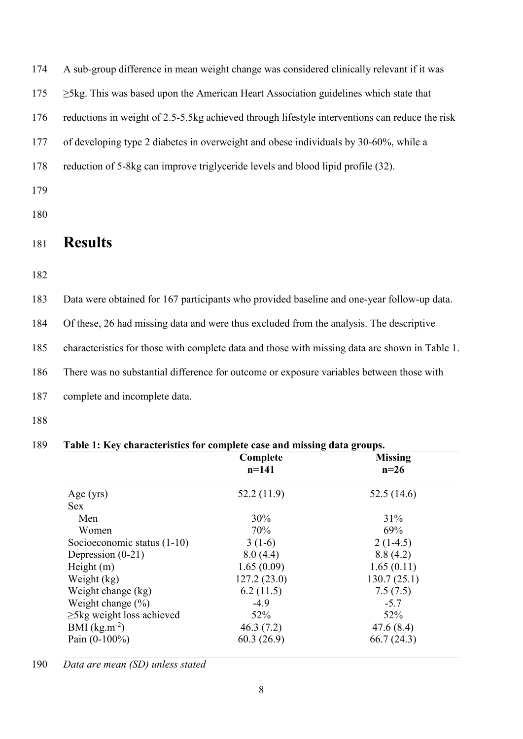174 A sub-group difference in mean weight change was considered clinically relevant if it was

175 ≥5kg. This was based upon the American Heart Association guidelines which state that

176 reductions in weight of 2.5-5.5kg achieved through lifestyle interventions can reduce the risk

177 of developing type 2 diabetes in overweight and obese individuals by 30-60%, while a

- 178 reduction of 5-8kg can improve triglyceride levels and blood lipid profile (32).
- 179
- 180

# <sup>181</sup> **Results**

182

183 Data were obtained for 167 participants who provided baseline and one-year follow-up data.

184 Of these, 26 had missing data and were thus excluded from the analysis. The descriptive

185 characteristics for those with complete data and those with missing data are shown in Table 1.

186 There was no substantial difference for outcome or exposure variables between those with

- 187 complete and incomplete data.
- 188

|                                 | Complete    | <b>Missing</b> |
|---------------------------------|-------------|----------------|
|                                 | $n = 141$   | $n=26$         |
| Age $(yrs)$                     | 52.2(11.9)  | 52.5(14.6)     |
| <b>Sex</b>                      |             |                |
| Men                             | 30%         | 31%            |
| Women                           | 70%         | 69%            |
| Socioeconomic status $(1-10)$   | $3(1-6)$    | $2(1-4.5)$     |
| Depression $(0-21)$             | 8.0(4.4)    | 8.8(4.2)       |
| Height $(m)$                    | 1.65(0.09)  | 1.65(0.11)     |
| Weight (kg)                     | 127.2(23.0) | 130.7(25.1)    |
| Weight change (kg)              | 6.2(11.5)   | 7.5(7.5)       |
| Weight change $(\%)$            | $-4.9$      | $-5.7$         |
| $\geq$ 5kg weight loss achieved | 52%         | 52%            |
| BMI $(kg.m^{-2})$               | 46.3(7.2)   | 47.6(8.4)      |
| Pain $(0-100\%)$                | 60.3(26.9)  | 66.7(24.3)     |

190 *Data are mean (SD) unless stated*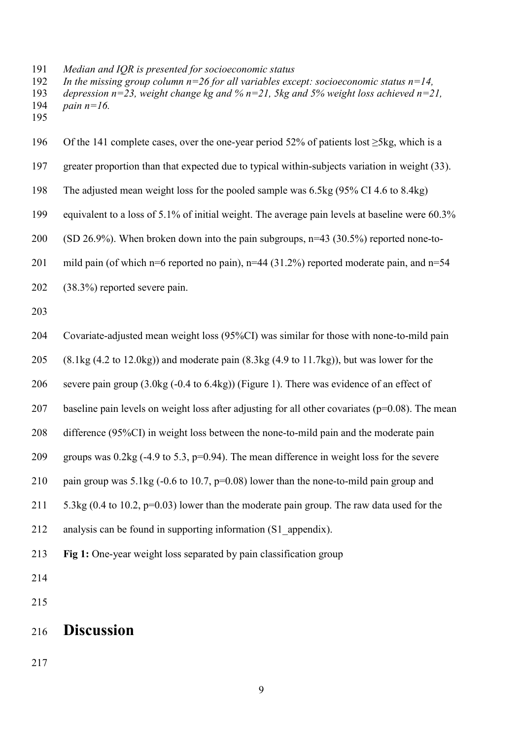*Median and IQR is presented for socioeconomic status* 

 *In the missing group column n=26 for all variables except: socioeconomic status n=14, depression n=23, weight change kg and % n=21, 5kg and 5% weight loss achieved n=21, pain n=16.* 

 Of the 141 complete cases, over the one-year period 52% of patients lost ≥5kg, which is a greater proportion than that expected due to typical within-subjects variation in weight (33). The adjusted mean weight loss for the pooled sample was 6.5kg (95% CI 4.6 to 8.4kg) equivalent to a loss of 5.1% of initial weight. The average pain levels at baseline were 60.3% 200 (SD 26.9%). When broken down into the pain subgroups,  $n=43$  (30.5%) reported none-to-201 mild pain (of which n=6 reported no pain), n=44 (31.2%) reported moderate pain, and n=54 (38.3%) reported severe pain. Covariate-adjusted mean weight loss (95%CI) was similar for those with none-to-mild pain 205 (8.1kg  $(4.2 \text{ to } 12.0 \text{kg})$ ) and moderate pain  $(8.3 \text{kg } (4.9 \text{ to } 11.7 \text{kg}))$ , but was lower for the severe pain group (3.0kg (-0.4 to 6.4kg)) (Figure 1). There was evidence of an effect of 207 baseline pain levels on weight loss after adjusting for all other covariates ( $p=0.08$ ). The mean difference (95%CI) in weight loss between the none-to-mild pain and the moderate pain 209 groups was  $0.2\text{kg}$  (-4.9 to 5.3, p=0.94). The mean difference in weight loss for the severe pain group was 5.1kg (-0.6 to 10.7, p=0.08) lower than the none-to-mild pain group and 211 5.3kg (0.4 to 10.2, p=0.03) lower than the moderate pain group. The raw data used for the analysis can be found in supporting information (S1\_appendix). **Fig 1:** One-year weight loss separated by pain classification group 

# **Discussion**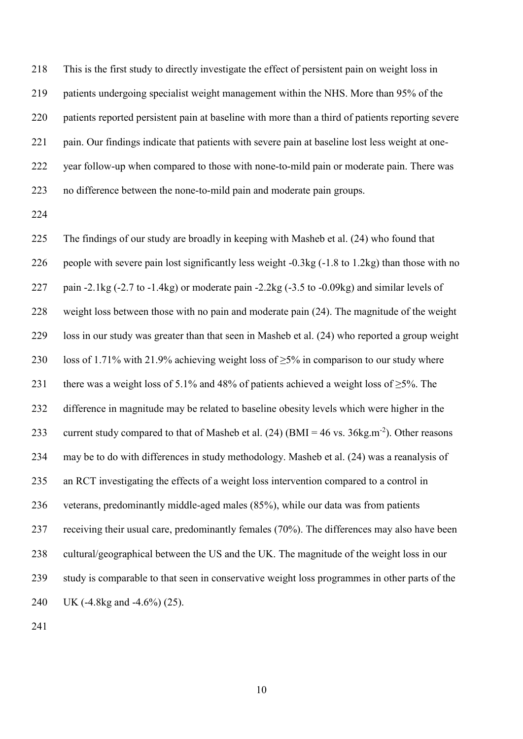This is the first study to directly investigate the effect of persistent pain on weight loss in 219 patients undergoing specialist weight management within the NHS. More than 95% of the patients reported persistent pain at baseline with more than a third of patients reporting severe pain. Our findings indicate that patients with severe pain at baseline lost less weight at one- year follow-up when compared to those with none-to-mild pain or moderate pain. There was no difference between the none-to-mild pain and moderate pain groups.

 The findings of our study are broadly in keeping with Masheb et al. (24) who found that people with severe pain lost significantly less weight -0.3kg (-1.8 to 1.2kg) than those with no 227 pain -2.1kg (-2.7 to -1.4kg) or moderate pain -2.2kg (-3.5 to -0.09kg) and similar levels of weight loss between those with no pain and moderate pain (24). The magnitude of the weight loss in our study was greater than that seen in Masheb et al. (24) who reported a group weight 230 loss of 1.71% with 21.9% achieving weight loss of  $\geq$ 5% in comparison to our study where 231 there was a weight loss of 5.1% and 48% of patients achieved a weight loss of  $\geq$ 5%. The difference in magnitude may be related to baseline obesity levels which were higher in the 233 current study compared to that of Masheb et al.  $(24)$  (BMI = 46 vs. 36kg.m<sup>-2</sup>). Other reasons may be to do with differences in study methodology. Masheb et al. (24) was a reanalysis of an RCT investigating the effects of a weight loss intervention compared to a control in veterans, predominantly middle-aged males (85%), while our data was from patients receiving their usual care, predominantly females (70%). The differences may also have been cultural/geographical between the US and the UK. The magnitude of the weight loss in our study is comparable to that seen in conservative weight loss programmes in other parts of the UK (-4.8kg and -4.6%) (25).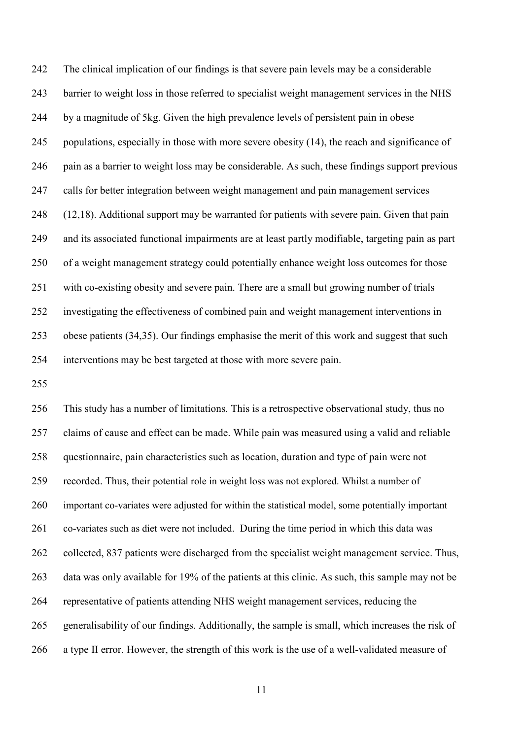The clinical implication of our findings is that severe pain levels may be a considerable barrier to weight loss in those referred to specialist weight management services in the NHS by a magnitude of 5kg. Given the high prevalence levels of persistent pain in obese populations, especially in those with more severe obesity (14), the reach and significance of pain as a barrier to weight loss may be considerable. As such, these findings support previous calls for better integration between weight management and pain management services (12,18). Additional support may be warranted for patients with severe pain. Given that pain and its associated functional impairments are at least partly modifiable, targeting pain as part of a weight management strategy could potentially enhance weight loss outcomes for those with co-existing obesity and severe pain. There are a small but growing number of trials investigating the effectiveness of combined pain and weight management interventions in obese patients (34,35). Our findings emphasise the merit of this work and suggest that such interventions may be best targeted at those with more severe pain.

 This study has a number of limitations. This is a retrospective observational study, thus no claims of cause and effect can be made. While pain was measured using a valid and reliable questionnaire, pain characteristics such as location, duration and type of pain were not recorded. Thus, their potential role in weight loss was not explored. Whilst a number of important co-variates were adjusted for within the statistical model, some potentially important co-variates such as diet were not included. During the time period in which this data was collected, 837 patients were discharged from the specialist weight management service. Thus, data was only available for 19% of the patients at this clinic. As such, this sample may not be representative of patients attending NHS weight management services, reducing the generalisability of our findings. Additionally, the sample is small, which increases the risk of a type II error. However, the strength of this work is the use of a well-validated measure of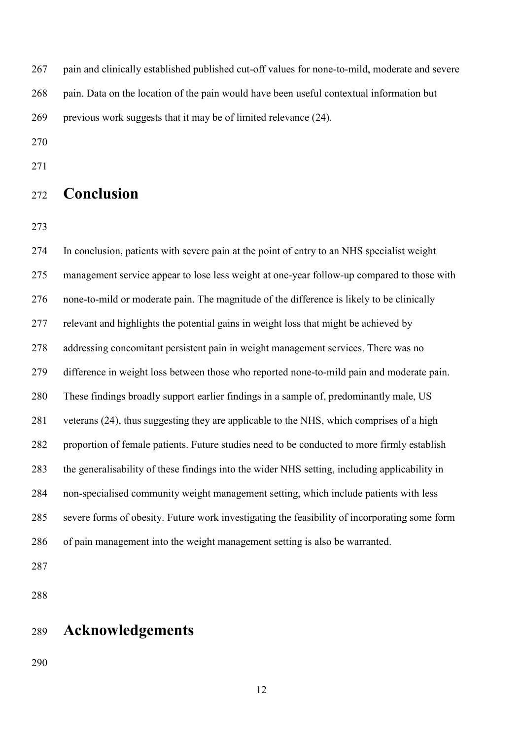pain and clinically established published cut-off values for none-to-mild, moderate and severe 268 pain. Data on the location of the pain would have been useful contextual information but previous work suggests that it may be of limited relevance (24).

## **Conclusion**

 In conclusion, patients with severe pain at the point of entry to an NHS specialist weight management service appear to lose less weight at one-year follow-up compared to those with none-to-mild or moderate pain. The magnitude of the difference is likely to be clinically relevant and highlights the potential gains in weight loss that might be achieved by addressing concomitant persistent pain in weight management services. There was no difference in weight loss between those who reported none-to-mild pain and moderate pain. These findings broadly support earlier findings in a sample of, predominantly male, US veterans (24), thus suggesting they are applicable to the NHS, which comprises of a high proportion of female patients. Future studies need to be conducted to more firmly establish the generalisability of these findings into the wider NHS setting, including applicability in non-specialised community weight management setting, which include patients with less severe forms of obesity. Future work investigating the feasibility of incorporating some form of pain management into the weight management setting is also be warranted.

## **Acknowledgements**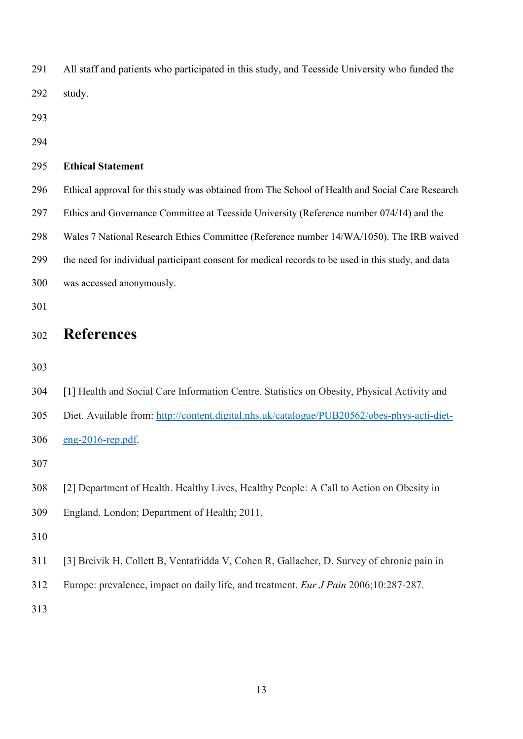| 291 | All staff and patients who participated in this study, and Teesside University who funded the      |
|-----|----------------------------------------------------------------------------------------------------|
| 292 | study.                                                                                             |
| 293 |                                                                                                    |
| 294 |                                                                                                    |
| 295 | <b>Ethical Statement</b>                                                                           |
| 296 | Ethical approval for this study was obtained from The School of Health and Social Care Research    |
| 297 | Ethics and Governance Committee at Teesside University (Reference number 074/14) and the           |
| 298 | Wales 7 National Research Ethics Committee (Reference number 14/WA/1050). The IRB waived           |
| 299 | the need for individual participant consent for medical records to be used in this study, and data |
| 300 | was accessed anonymously.                                                                          |
| 301 |                                                                                                    |
|     |                                                                                                    |
| 302 | <b>References</b>                                                                                  |
| 303 |                                                                                                    |
| 304 | [1] Health and Social Care Information Centre. Statistics on Obesity, Physical Activity and        |
| 305 | Diet. Available from: http://content.digital.nhs.uk/catalogue/PUB20562/obes-phys-acti-diet-        |
| 306 | $eng-2016$ -rep.pdf.                                                                               |
| 307 |                                                                                                    |
| 308 | [2] Department of Health. Healthy Lives, Healthy People: A Call to Action on Obesity in            |
| 309 | England. London: Department of Health; 2011.                                                       |
| 310 |                                                                                                    |
| 311 | [3] Breivik H, Collett B, Ventafridda V, Cohen R, Gallacher, D. Survey of chronic pain in          |
| 312 | Europe: prevalence, impact on daily life, and treatment. <i>Eur J Pain</i> 2006;10:287-287.        |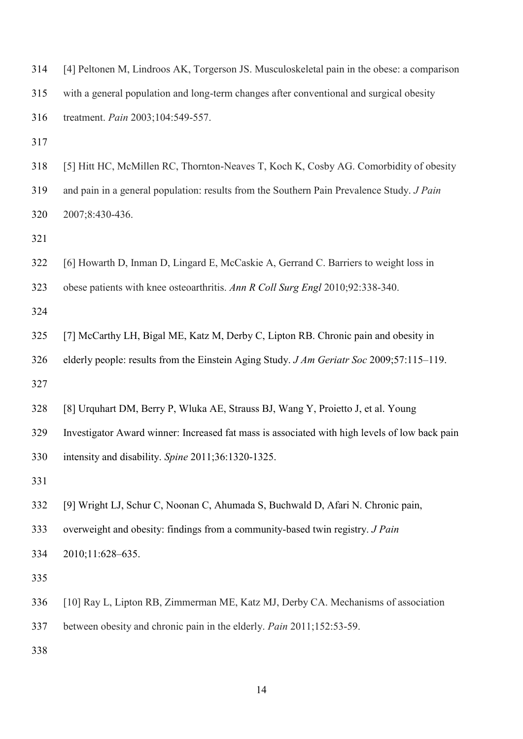| 314 | [4] Peltonen M, Lindroos AK, Torgerson JS. Musculoskeletal pain in the obese: a comparison    |
|-----|-----------------------------------------------------------------------------------------------|
| 315 | with a general population and long-term changes after conventional and surgical obesity       |
| 316 | treatment. Pain 2003;104:549-557.                                                             |
| 317 |                                                                                               |
| 318 | [5] Hitt HC, McMillen RC, Thornton-Neaves T, Koch K, Cosby AG. Comorbidity of obesity         |
| 319 | and pain in a general population: results from the Southern Pain Prevalence Study. J Pain     |
| 320 | 2007;8:430-436.                                                                               |
| 321 |                                                                                               |
| 322 | [6] Howarth D, Inman D, Lingard E, McCaskie A, Gerrand C. Barriers to weight loss in          |
| 323 | obese patients with knee osteoarthritis. Ann R Coll Surg Engl 2010;92:338-340.                |
| 324 |                                                                                               |
| 325 | [7] McCarthy LH, Bigal ME, Katz M, Derby C, Lipton RB. Chronic pain and obesity in            |
| 326 | elderly people: results from the Einstein Aging Study. J Am Geriatr Soc 2009;57:115-119.      |
| 327 |                                                                                               |
| 328 | [8] Urquhart DM, Berry P, Wluka AE, Strauss BJ, Wang Y, Proietto J, et al. Young              |
| 329 | Investigator Award winner: Increased fat mass is associated with high levels of low back pain |
| 330 | intensity and disability. Spine 2011;36:1320-1325.                                            |
| 331 |                                                                                               |
| 332 | [9] Wright LJ, Schur C, Noonan C, Ahumada S, Buchwald D, Afari N. Chronic pain,               |
| 333 | overweight and obesity: findings from a community-based twin registry. <i>J Pain</i>          |
| 334 | 2010;11:628-635.                                                                              |
| 335 |                                                                                               |
| 336 | [10] Ray L, Lipton RB, Zimmerman ME, Katz MJ, Derby CA. Mechanisms of association             |
| 337 | between obesity and chronic pain in the elderly. Pain 2011;152:53-59.                         |
| 338 |                                                                                               |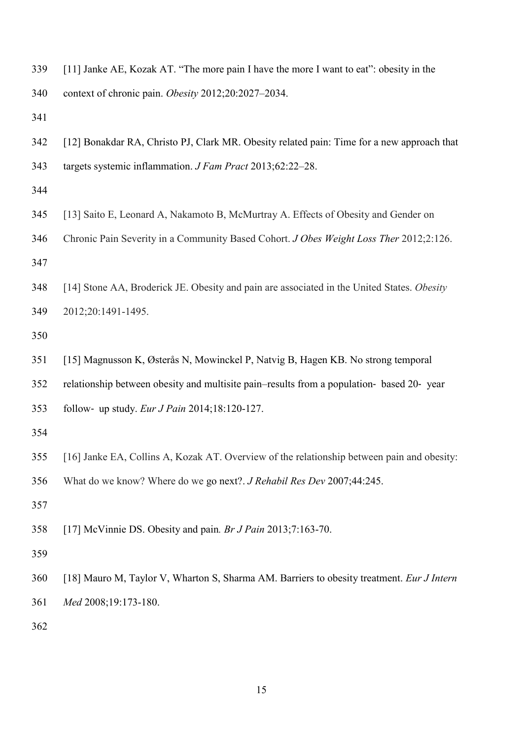[11] Janke AE, Kozak AT. "The more pain I have the more I want to eat": obesity in the

context of chronic pain. *Obesity* 2012;20:2027–2034.

- [12] Bonakdar RA, Christo PJ, Clark MR. Obesity related pain: Time for a new approach that targets systemic inflammation. *J Fam Pract* 2013;62:22–28.
- 
- [13] Saito E, Leonard A, Nakamoto B, McMurtray A. Effects of Obesity and Gender on
- Chronic Pain Severity in a Community Based Cohort. *J Obes Weight Loss Ther* 2012;2:126.

 [14] Stone AA, Broderick JE. Obesity and pain are associated in the United States. *Obesity* 2012;20:1491-1495.

- [15] Magnusson K, Østerås N, Mowinckel P, Natvig B, Hagen KB. No strong temporal
- relationship between obesity and multisite pain–results from a population‐ based 20‐ year
- follow‐ up study. *Eur J Pain* 2014;18:120-127.

- [16] Janke EA, Collins A, Kozak AT. Overview of the relationship between pain and obesity:
- What do we know? Where do we go next?. *J Rehabil Res Dev* 2007;44:245.
- 
- [17] McVinnie DS. Obesity and pain*. Br J Pain* 2013;7:163-70.
- 
- [18] Mauro M, Taylor V, Wharton S, Sharma AM. Barriers to obesity treatment. *Eur J Intern Med* 2008;19:173-180.
-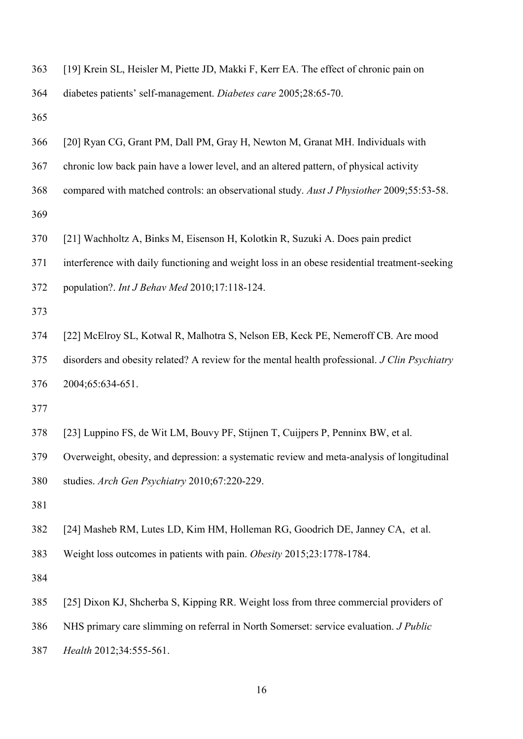| 363 | [19] Krein SL, Heisler M, Piette JD, Makki F, Kerr EA. The effect of chronic pain on          |
|-----|-----------------------------------------------------------------------------------------------|
| 364 | diabetes patients' self-management. Diabetes care 2005;28:65-70.                              |
| 365 |                                                                                               |
| 366 | [20] Ryan CG, Grant PM, Dall PM, Gray H, Newton M, Granat MH. Individuals with                |
| 367 | chronic low back pain have a lower level, and an altered pattern, of physical activity        |
| 368 | compared with matched controls: an observational study. Aust J Physiother 2009;55:53-58.      |
| 369 |                                                                                               |
| 370 | [21] Wachholtz A, Binks M, Eisenson H, Kolotkin R, Suzuki A. Does pain predict                |
| 371 | interference with daily functioning and weight loss in an obese residential treatment-seeking |
| 372 | population?. Int J Behav Med 2010;17:118-124.                                                 |
| 373 |                                                                                               |
| 374 | [22] McElroy SL, Kotwal R, Malhotra S, Nelson EB, Keck PE, Nemeroff CB. Are mood              |
| 375 | disorders and obesity related? A review for the mental health professional. J Clin Psychiatry |
| 376 | 2004;65:634-651.                                                                              |
| 377 |                                                                                               |
| 378 | [23] Luppino FS, de Wit LM, Bouvy PF, Stijnen T, Cuijpers P, Penninx BW, et al.               |
| 379 | Overweight, obesity, and depression: a systematic review and meta-analysis of longitudinal    |
| 380 | studies. Arch Gen Psychiatry 2010;67:220-229.                                                 |
| 381 |                                                                                               |
| 382 | [24] Masheb RM, Lutes LD, Kim HM, Holleman RG, Goodrich DE, Janney CA, et al.                 |
| 383 | Weight loss outcomes in patients with pain. Obesity 2015;23:1778-1784.                        |
| 384 |                                                                                               |
| 385 | [25] Dixon KJ, Shcherba S, Kipping RR. Weight loss from three commercial providers of         |
| 386 | NHS primary care slimming on referral in North Somerset: service evaluation. <i>J Public</i>  |
| 387 | Health 2012;34:555-561.                                                                       |
|     |                                                                                               |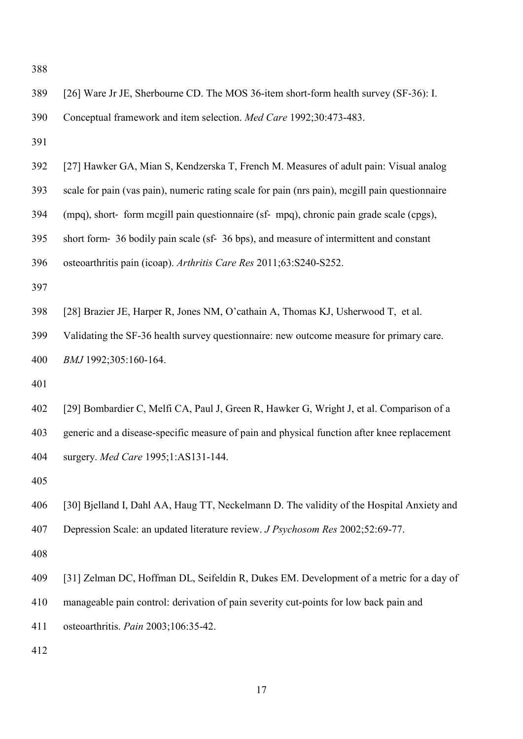| 389 | [26] Ware Jr JE, Sherbourne CD. The MOS 36-item short-form health survey (SF-36): I.           |
|-----|------------------------------------------------------------------------------------------------|
| 390 | Conceptual framework and item selection. Med Care 1992;30:473-483.                             |
| 391 |                                                                                                |
| 392 | [27] Hawker GA, Mian S, Kendzerska T, French M. Measures of adult pain: Visual analog          |
| 393 | scale for pain (vas pain), numeric rating scale for pain (nrs pain), megill pain questionnaire |
| 394 | (mpq), short- form megill pain questionnaire (sf- mpq), chronic pain grade scale (cpgs),       |
| 395 | short form- 36 bodily pain scale (sf- 36 bps), and measure of intermittent and constant        |
| 396 | osteoarthritis pain (icoap). Arthritis Care Res 2011;63:S240-S252.                             |
| 397 |                                                                                                |
| 398 | [28] Brazier JE, Harper R, Jones NM, O'cathain A, Thomas KJ, Usherwood T, et al.               |
| 399 | Validating the SF-36 health survey questionnaire: new outcome measure for primary care.        |
| 400 | BMJ 1992;305:160-164.                                                                          |
| 401 |                                                                                                |
| 402 | [29] Bombardier C, Melfi CA, Paul J, Green R, Hawker G, Wright J, et al. Comparison of a       |
| 403 | generic and a disease-specific measure of pain and physical function after knee replacement    |
| 404 | surgery. Med Care 1995;1:AS131-144.                                                            |
| 405 |                                                                                                |
| 406 | [30] Bjelland I, Dahl AA, Haug TT, Neckelmann D. The validity of the Hospital Anxiety and      |
| 407 | Depression Scale: an updated literature review. <i>J Psychosom Res</i> 2002;52:69-77.          |
| 408 |                                                                                                |
| 409 | [31] Zelman DC, Hoffman DL, Seifeldin R, Dukes EM. Development of a metric for a day of        |
| 410 | manageable pain control: derivation of pain severity cut-points for low back pain and          |
| 411 | osteoarthritis. Pain 2003;106:35-42.                                                           |
| 412 |                                                                                                |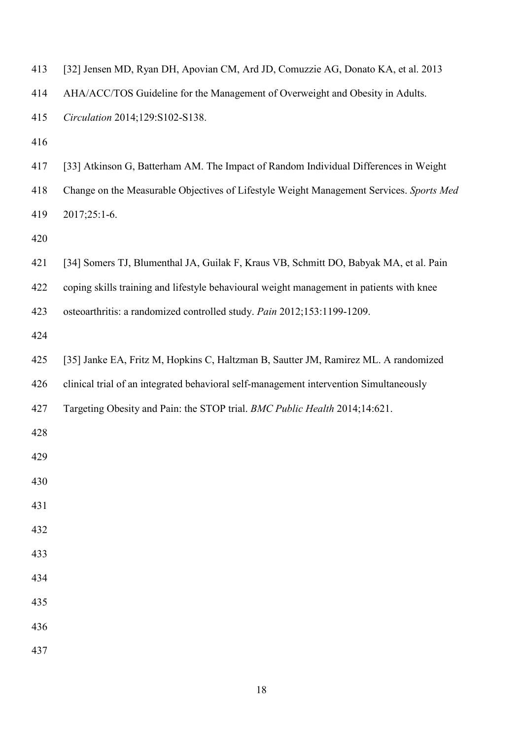| 413 | [32] Jensen MD, Ryan DH, Apovian CM, Ard JD, Comuzzie AG, Donato KA, et al. 2013         |
|-----|------------------------------------------------------------------------------------------|
| 414 | AHA/ACC/TOS Guideline for the Management of Overweight and Obesity in Adults.            |
| 415 | Circulation 2014;129:S102-S138.                                                          |
| 416 |                                                                                          |
| 417 | [33] Atkinson G, Batterham AM. The Impact of Random Individual Differences in Weight     |
| 418 | Change on the Measurable Objectives of Lifestyle Weight Management Services. Sports Med  |
| 419 | 2017;25:1-6.                                                                             |
| 420 |                                                                                          |
| 421 | [34] Somers TJ, Blumenthal JA, Guilak F, Kraus VB, Schmitt DO, Babyak MA, et al. Pain    |
| 422 | coping skills training and lifestyle behavioural weight management in patients with knee |
| 423 | osteoarthritis: a randomized controlled study. Pain 2012;153:1199-1209.                  |
| 424 |                                                                                          |
| 425 | [35] Janke EA, Fritz M, Hopkins C, Haltzman B, Sautter JM, Ramirez ML. A randomized      |
| 426 | clinical trial of an integrated behavioral self-management intervention Simultaneously   |
| 427 | Targeting Obesity and Pain: the STOP trial. BMC Public Health 2014;14:621.               |
| 428 |                                                                                          |
| 429 |                                                                                          |
| 430 |                                                                                          |
| 431 |                                                                                          |
| 432 |                                                                                          |
| 433 |                                                                                          |
| 434 |                                                                                          |
| 435 |                                                                                          |
| 436 |                                                                                          |
| 437 |                                                                                          |